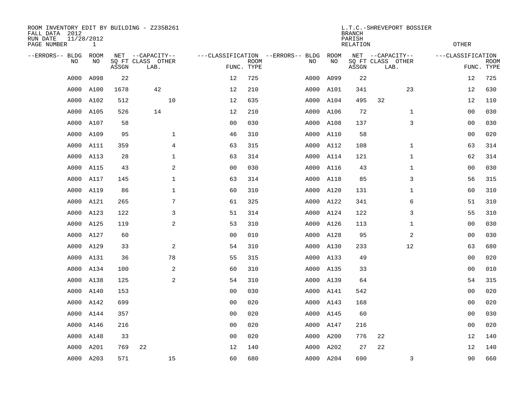| ROOM INVENTORY EDIT BY BUILDING - Z235B261<br>FALL DATA 2012<br>RUN DATE<br>PAGE NUMBER | 11/28/2012<br>$\mathbf{1}$ |       |                                               |                |                           |                                         |            | <b>BRANCH</b><br>PARISH<br><b>RELATION</b> | L.T.C.-SHREVEPORT BOSSIER                     | <b>OTHER</b>      |                           |
|-----------------------------------------------------------------------------------------|----------------------------|-------|-----------------------------------------------|----------------|---------------------------|-----------------------------------------|------------|--------------------------------------------|-----------------------------------------------|-------------------|---------------------------|
| --ERRORS-- BLDG<br>NO                                                                   | ROOM<br>NO                 | ASSGN | NET --CAPACITY--<br>SQ FT CLASS OTHER<br>LAB. |                | <b>ROOM</b><br>FUNC. TYPE | ---CLASSIFICATION --ERRORS-- BLDG<br>NO | ROOM<br>NO | ASSGN                                      | NET --CAPACITY--<br>SQ FT CLASS OTHER<br>LAB. | ---CLASSIFICATION | <b>ROOM</b><br>FUNC. TYPE |
| A000                                                                                    | A098                       | 22    |                                               | 12             | 725                       | A000                                    | A099       | 22                                         |                                               | 12                | 725                       |
| A000                                                                                    | A100                       | 1678  | 42                                            | 12             | 210                       | A000                                    | A101       | 341                                        | 23                                            | 12                | 630                       |
| A000                                                                                    | A102                       | 512   | 10                                            | 12             | 635                       |                                         | A000 A104  | 495                                        | 32                                            | 12                | 110                       |
| A000                                                                                    | A105                       | 526   | 14                                            | 12             | 210                       |                                         | A000 A106  | 72                                         | $\mathbf{1}$                                  | 0 <sub>0</sub>    | 030                       |
| A000                                                                                    | A107                       | 58    |                                               | 00             | 030                       |                                         | A000 A108  | 137                                        | 3                                             | 0 <sub>0</sub>    | 030                       |
| A000                                                                                    | A109                       | 95    | $\mathbf{1}$                                  | 46             | 310                       |                                         | A000 A110  | 58                                         |                                               | 00                | 020                       |
| A000                                                                                    | A111                       | 359   | $\overline{4}$                                | 63             | 315                       |                                         | A000 A112  | 108                                        | $\mathbf{1}$                                  | 63                | 314                       |
| A000                                                                                    | A113                       | 28    | $\mathbf{1}$                                  | 63             | 314                       |                                         | A000 A114  | 121                                        | $\mathbf{1}$                                  | 62                | 314                       |
| A000                                                                                    | A115                       | 43    | 2                                             | 0 <sub>0</sub> | 030                       |                                         | A000 A116  | 43                                         | $\mathbf{1}$                                  | 0 <sub>0</sub>    | 030                       |
| A000                                                                                    | A117                       | 145   | $\mathbf 1$                                   | 63             | 314                       |                                         | A000 A118  | 85                                         | 3                                             | 56                | 315                       |
| A000                                                                                    | A119                       | 86    | $\mathbf 1$                                   | 60             | 310                       |                                         | A000 A120  | 131                                        | $\mathbf{1}$                                  | 60                | 310                       |
| A000                                                                                    | A121                       | 265   | 7                                             | 61             | 325                       |                                         | A000 A122  | 341                                        | 6                                             | 51                | 310                       |
| A000                                                                                    | A123                       | 122   | 3                                             | 51             | 314                       |                                         | A000 A124  | 122                                        | 3                                             | 55                | 310                       |
| A000                                                                                    | A125                       | 119   | $\mathbf{2}$                                  | 53             | 310                       |                                         | A000 A126  | 113                                        | $\mathbf{1}$                                  | 00                | 030                       |
| A000                                                                                    | A127                       | 60    |                                               | 0 <sub>0</sub> | 010                       |                                         | A000 A128  | 95                                         | $\overline{a}$                                | 0 <sub>0</sub>    | 030                       |
| A000                                                                                    | A129                       | 33    | 2                                             | 54             | 310                       |                                         | A000 A130  | 233                                        | 12                                            | 63                | 680                       |
| A000                                                                                    | A131                       | 36    | 78                                            | 55             | 315                       |                                         | A000 A133  | 49                                         |                                               | 00                | 020                       |
| A000                                                                                    | A134                       | 100   | 2                                             | 60             | 310                       |                                         | A000 A135  | 33                                         |                                               | 0 <sub>0</sub>    | 010                       |
| A000                                                                                    | A138                       | 125   | 2                                             | 54             | 310                       |                                         | A000 A139  | 64                                         |                                               | 54                | 315                       |
| A000                                                                                    | A140                       | 153   |                                               | 0 <sub>0</sub> | 030                       |                                         | A000 A141  | 542                                        |                                               | 0 <sub>0</sub>    | 020                       |
| A000                                                                                    | A142                       | 699   |                                               | 0 <sub>0</sub> | 020                       |                                         | A000 A143  | 168                                        |                                               | 0 <sub>0</sub>    | 020                       |
| A000                                                                                    | A144                       | 357   |                                               | 00             | 020                       |                                         | A000 A145  | 60                                         |                                               | 00                | 030                       |
| A000                                                                                    | A146                       | 216   |                                               | 0 <sub>0</sub> | 020                       |                                         | A000 A147  | 216                                        |                                               | 00                | 020                       |
| A000                                                                                    | A148                       | 33    |                                               | 0 <sub>0</sub> | 020                       |                                         | A000 A200  | 776                                        | 22                                            | 12                | 140                       |
| A000                                                                                    | A201                       | 769   | 22                                            | 12             | 140                       |                                         | A000 A202  | 27                                         | 22                                            | 12                | 140                       |
|                                                                                         | A000 A203                  | 571   | 15                                            | 60             | 680                       |                                         | A000 A204  | 690                                        | 3                                             | 90                | 660                       |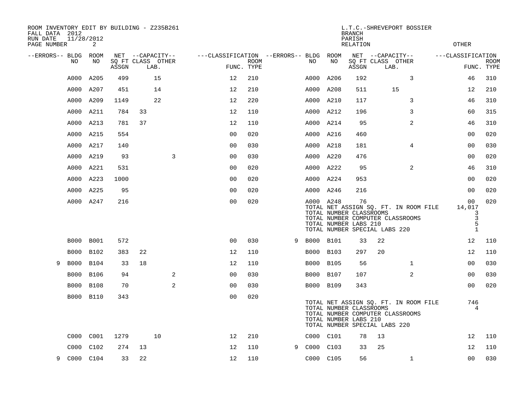| ROOM INVENTORY EDIT BY BUILDING - Z235B261<br>FALL DATA 2012<br>RUN DATE<br>PAGE NUMBER | 11/28/2012<br>2 |       |    |                           |                                        |                    |   |           |             | <b>BRANCH</b><br>PARISH<br><b>RELATION</b>             |                               | L.T.C.-SHREVEPORT BOSSIER                                                 | <b>OTHER</b>                                |                           |
|-----------------------------------------------------------------------------------------|-----------------|-------|----|---------------------------|----------------------------------------|--------------------|---|-----------|-------------|--------------------------------------------------------|-------------------------------|---------------------------------------------------------------------------|---------------------------------------------|---------------------------|
| --ERRORS-- BLDG ROOM                                                                    |                 |       |    | NET --CAPACITY--          | ---CLASSIFICATION --ERRORS-- BLDG ROOM |                    |   |           |             |                                                        | NET --CAPACITY--              |                                                                           | ---CLASSIFICATION                           |                           |
| NO                                                                                      | NO              | ASSGN |    | SQ FT CLASS OTHER<br>LAB. |                                        | ROOM<br>FUNC. TYPE |   | NO        | NO          | ASSGN                                                  | SQ FT CLASS OTHER<br>LAB.     |                                                                           |                                             | <b>ROOM</b><br>FUNC. TYPE |
| A000                                                                                    | A205            | 499   |    | 15                        | 12                                     | 210                |   | A000      | A206        | 192                                                    |                               | 3                                                                         | 46                                          | 310                       |
| A000                                                                                    | A207            | 451   |    | 14                        | 12                                     | 210                |   | A000      | A208        | 511                                                    |                               | 15                                                                        | 12                                          | 210                       |
| A000                                                                                    | A209            | 1149  |    | 22                        | 12                                     | 220                |   | A000 A210 |             | 117                                                    |                               | 3                                                                         | 46                                          | 310                       |
| A000                                                                                    | A211            | 784   | 33 |                           | 12                                     | 110                |   | A000 A212 |             | 196                                                    |                               | 3                                                                         | 60                                          | 315                       |
| A000                                                                                    | A213            | 781   | 37 |                           | 12                                     | 110                |   | A000 A214 |             | 95                                                     |                               | 2                                                                         | 46                                          | 310                       |
|                                                                                         | A000 A215       | 554   |    |                           | 0 <sub>0</sub>                         | 020                |   | A000 A216 |             | 460                                                    |                               |                                                                           | 00                                          | 020                       |
| A000                                                                                    | A217            | 140   |    |                           | 00                                     | 030                |   | A000 A218 |             | 181                                                    |                               | 4                                                                         | 0 <sub>0</sub>                              | 030                       |
| A000                                                                                    | A219            | 93    |    | 3                         | 00                                     | 030                |   | A000 A220 |             | 476                                                    |                               |                                                                           | 00                                          | 020                       |
| A000                                                                                    | A221            | 531   |    |                           | 00                                     | 020                |   | A000 A222 |             | 95                                                     |                               | 2                                                                         | 46                                          | 310                       |
| A000                                                                                    | A223            | 1000  |    |                           | 0 <sub>0</sub>                         | 020                |   | A000 A224 |             | 953                                                    |                               |                                                                           | 0 <sub>0</sub>                              | 020                       |
| A000                                                                                    | A225            | 95    |    |                           | 0 <sub>0</sub>                         | 020                |   | A000 A246 |             | 216                                                    |                               |                                                                           | 00                                          | 020                       |
|                                                                                         | A000 A247       | 216   |    |                           | 0 <sub>0</sub>                         | 020                |   | A000 A248 |             | 76<br>TOTAL NUMBER CLASSROOMS<br>TOTAL NUMBER LABS 210 | TOTAL NUMBER SPECIAL LABS 220 | TOTAL NET ASSIGN SQ. FT. IN ROOM FILE<br>TOTAL NUMBER COMPUTER CLASSROOMS | 00<br>14,017<br>3<br>3<br>5<br>$\mathbf{1}$ | 020                       |
| B000                                                                                    | <b>B001</b>     | 572   |    |                           | 0 <sub>0</sub>                         | 030                | 9 | B000 B101 |             | 33                                                     | 22                            |                                                                           | 12                                          | 110                       |
| <b>B000</b>                                                                             | B102            | 383   | 22 |                           | 12                                     | 110                |   | B000 B103 |             | 297                                                    | 20                            |                                                                           | 12                                          | 110                       |
| <b>B000</b><br>9                                                                        | <b>B104</b>     | 33    | 18 |                           | 12                                     | 110                |   | B000      | <b>B105</b> | 56                                                     |                               | $\mathbf{1}$                                                              | 0 <sub>0</sub>                              | 030                       |
| <b>B000</b>                                                                             | <b>B106</b>     | 94    |    | 2                         | 0 <sub>0</sub>                         | 030                |   | B000 B107 |             | 107                                                    |                               | 2                                                                         | 0 <sub>0</sub>                              | 030                       |
| <b>B000</b>                                                                             | <b>B108</b>     | 70    |    | 2                         | 0 <sub>0</sub>                         | 030                |   | B000 B109 |             | 343                                                    |                               |                                                                           | 0 <sub>0</sub>                              | 020                       |
|                                                                                         | B000 B110       | 343   |    |                           | 0 <sub>0</sub>                         | 020                |   |           |             | TOTAL NUMBER CLASSROOMS<br>TOTAL NUMBER LABS 210       | TOTAL NUMBER SPECIAL LABS 220 | TOTAL NET ASSIGN SQ. FT. IN ROOM FILE<br>TOTAL NUMBER COMPUTER CLASSROOMS | 746<br>4                                    |                           |
| C000                                                                                    | C001            | 1279  |    | 10                        | 12                                     | 210                |   | C000 C101 |             | 78                                                     | 13                            |                                                                           | 12                                          | 110                       |
| C000                                                                                    | C102            | 274   | 13 |                           | 12                                     | 110                | 9 | C000 C103 |             | 33                                                     | 25                            |                                                                           | 12                                          | 110                       |
| 9                                                                                       | C000 C104       | 33    | 22 |                           | 12                                     | 110                |   | C000 C105 |             | 56                                                     |                               | $\mathbf{1}$                                                              | 0 <sub>0</sub>                              | 030                       |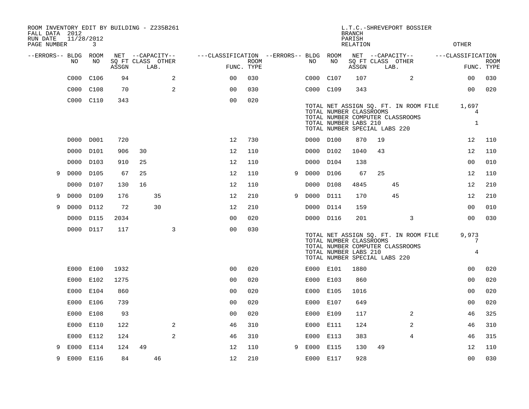| ROOM INVENTORY EDIT BY BUILDING - Z235B261<br>FALL DATA 2012 |            |           |       |    |                           |   |                                        |             |   |           |                                                        | <b>BRANCH</b>      |    | L.T.C.-SHREVEPORT BOSSIER             |                   |                           |
|--------------------------------------------------------------|------------|-----------|-------|----|---------------------------|---|----------------------------------------|-------------|---|-----------|--------------------------------------------------------|--------------------|----|---------------------------------------|-------------------|---------------------------|
| RUN DATE<br>PAGE NUMBER                                      | 11/28/2012 | 3         |       |    |                           |   |                                        |             |   |           |                                                        | PARISH<br>RELATION |    |                                       | <b>OTHER</b>      |                           |
| --ERRORS-- BLDG ROOM                                         |            |           |       |    | NET --CAPACITY--          |   | ---CLASSIFICATION --ERRORS-- BLDG ROOM |             |   |           |                                                        |                    |    | NET --CAPACITY--                      | ---CLASSIFICATION |                           |
|                                                              | NO         | NO        | ASSGN |    | SQ FT CLASS OTHER<br>LAB. |   | FUNC. TYPE                             | <b>ROOM</b> |   | NO        | NO                                                     | ASSGN              |    | SQ FT CLASS OTHER<br>LAB.             |                   | <b>ROOM</b><br>FUNC. TYPE |
|                                                              | C000       | C106      | 94    |    |                           | 2 | 0 <sub>0</sub>                         | 030         |   | C000      | C107                                                   | 107                |    | 2                                     | 0 <sub>0</sub>    | 030                       |
|                                                              | C000       | C108      | 70    |    |                           | 2 | 0 <sub>0</sub>                         | 030         |   | C000 C109 |                                                        | 343                |    |                                       | 00                | 020                       |
|                                                              |            | C000 C110 | 343   |    |                           |   | 0 <sub>0</sub>                         | 020         |   |           |                                                        |                    |    |                                       |                   |                           |
|                                                              |            |           |       |    |                           |   |                                        |             |   |           | TOTAL NUMBER CLASSROOMS                                |                    |    | TOTAL NET ASSIGN SQ. FT. IN ROOM FILE | 1,697<br>4        |                           |
|                                                              |            |           |       |    |                           |   |                                        |             |   |           | TOTAL NUMBER LABS 210<br>TOTAL NUMBER SPECIAL LABS 220 |                    |    | TOTAL NUMBER COMPUTER CLASSROOMS      | $\mathbf{1}$      |                           |
|                                                              |            | D000 D001 | 720   |    |                           |   | 12                                     | 730         |   | D000 D100 |                                                        | 870                | 19 |                                       | 12                | 110                       |
|                                                              | D000       | D101      | 906   | 30 |                           |   | 12                                     | 110         |   | D000      | D102                                                   | 1040               | 43 |                                       | 12                | 110                       |
|                                                              | D000       | D103      | 910   | 25 |                           |   | 12                                     | 110         |   | D000      | D104                                                   | 138                |    |                                       | 0 <sub>0</sub>    | 010                       |
| 9                                                            | D000       | D105      | 67    | 25 |                           |   | 12                                     | 110         | 9 | D000      | D106                                                   | 67                 | 25 |                                       | 12                | 110                       |
|                                                              | D000       | D107      | 130   | 16 |                           |   | 12                                     | 110         |   | D000      | D108                                                   | 4845               |    | 45                                    | 12                | 210                       |
| 9                                                            | D000       | D109      | 176   |    | 35                        |   | 12                                     | 210         | 9 | D000      | D111                                                   | 170                |    | 45                                    | 12                | 210                       |
| 9                                                            | D000       | D112      | 72    |    | 30                        |   | 12                                     | 210         |   | D000 D114 |                                                        | 159                |    |                                       | 00                | 010                       |
|                                                              | D000       | D115      | 2034  |    |                           |   | 0 <sub>0</sub>                         | 020         |   | D000 D116 |                                                        | 201                |    | 3                                     | 0 <sub>0</sub>    | 030                       |
|                                                              |            | D000 D117 | 117   |    |                           | 3 | 0 <sub>0</sub>                         | 030         |   |           |                                                        |                    |    |                                       |                   |                           |
|                                                              |            |           |       |    |                           |   |                                        |             |   |           | TOTAL NUMBER CLASSROOMS                                |                    |    | TOTAL NET ASSIGN SQ. FT. IN ROOM FILE | 9,973<br>7        |                           |
|                                                              |            |           |       |    |                           |   |                                        |             |   |           | TOTAL NUMBER LABS 210<br>TOTAL NUMBER SPECIAL LABS 220 |                    |    | TOTAL NUMBER COMPUTER CLASSROOMS      | $\overline{4}$    |                           |
|                                                              | E000       | E100      | 1932  |    |                           |   | 0 <sub>0</sub>                         | 020         |   | E000 E101 |                                                        | 1880               |    |                                       | 0 <sub>0</sub>    | 020                       |
|                                                              | E000       | E102      | 1275  |    |                           |   | 0 <sub>0</sub>                         | 020         |   | E000 E103 |                                                        | 860                |    |                                       | 00                | 020                       |
|                                                              | E000       | E104      | 860   |    |                           |   | 00                                     | 020         |   | E000      | E105                                                   | 1016               |    |                                       | 0 <sub>0</sub>    | 020                       |
|                                                              | E000       | E106      | 739   |    |                           |   | 0 <sub>0</sub>                         | 020         |   | E000 E107 |                                                        | 649                |    |                                       | 0 <sub>0</sub>    | 020                       |
|                                                              | E000       | E108      | 93    |    |                           |   | 00                                     | 020         |   | E000      | E109                                                   | 117                |    | 2                                     | 46                | 325                       |
|                                                              | E000       | E110      | 122   |    |                           | 2 | 46                                     | 310         |   | E000 E111 |                                                        | 124                |    | 2                                     | 46                | 310                       |
|                                                              | E000       | E112      | 124   |    |                           | 2 | 46                                     | 310         |   | E000      | E113                                                   | 383                |    | 4                                     | 46                | 315                       |
| 9                                                            | E000       | E114      | 124   | 49 |                           |   | 12                                     | 110         | 9 | E000 E115 |                                                        | 130                | 49 |                                       | 12                | 110                       |
| 9                                                            | E000       | E116      | 84    |    | 46                        |   | 12                                     | 210         |   | E000 E117 |                                                        | 928                |    |                                       | 00                | 030                       |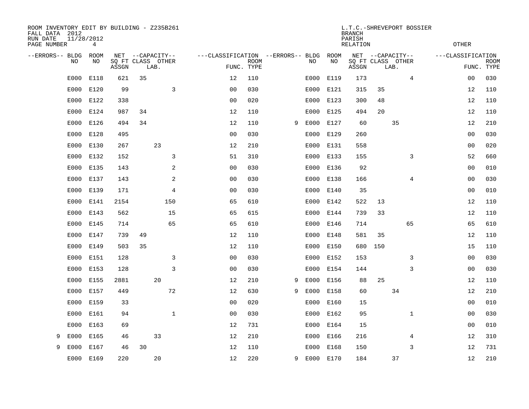| ROOM INVENTORY EDIT BY BUILDING - Z235B261<br>FALL DATA 2012<br>RUN DATE<br>PAGE NUMBER | 11/28/2012<br>4 |       |                                       |                |                                   |             |   |      |            | L.T.C.-SHREVEPORT BOSSIER<br><b>BRANCH</b><br>PARISH<br><b>RELATION</b> |     |                                       |                | <b>OTHER</b>      |             |
|-----------------------------------------------------------------------------------------|-----------------|-------|---------------------------------------|----------------|-----------------------------------|-------------|---|------|------------|-------------------------------------------------------------------------|-----|---------------------------------------|----------------|-------------------|-------------|
| --ERRORS-- BLDG<br>NO                                                                   | ROOM<br>NO      |       | NET --CAPACITY--<br>SQ FT CLASS OTHER |                | ---CLASSIFICATION --ERRORS-- BLDG | <b>ROOM</b> |   | NO   | ROOM<br>NO |                                                                         |     | NET --CAPACITY--<br>SQ FT CLASS OTHER |                | ---CLASSIFICATION | <b>ROOM</b> |
|                                                                                         |                 | ASSGN | LAB.                                  |                |                                   | FUNC. TYPE  |   |      |            | ASSGN                                                                   |     | LAB.                                  |                |                   | FUNC. TYPE  |
| E000                                                                                    | E118            | 621   | 35                                    |                | 12                                | 110         |   | E000 | E119       | 173                                                                     |     |                                       | $\overline{4}$ | 0 <sub>0</sub>    | 030         |
| E000                                                                                    | E120            | 99    |                                       | 3              | 0 <sub>0</sub>                    | 030         |   | E000 | E121       | 315                                                                     | 35  |                                       |                | 12                | 110         |
| E000                                                                                    | E122            | 338   |                                       |                | 0 <sub>0</sub>                    | 020         |   | E000 | E123       | 300                                                                     | 48  |                                       |                | 12                | 110         |
| E000                                                                                    | E124            | 987   | 34                                    |                | 12                                | 110         |   |      | E000 E125  | 494                                                                     | 20  |                                       |                | 12                | 110         |
| E000                                                                                    | E126            | 494   | 34                                    |                | 12                                | 110         | 9 | E000 | E127       | 60                                                                      |     | 35                                    |                | 12                | 210         |
| E000                                                                                    | E128            | 495   |                                       |                | 0 <sub>0</sub>                    | 030         |   |      | E000 E129  | 260                                                                     |     |                                       |                | 00                | 030         |
| E000                                                                                    | E130            | 267   | 23                                    |                | 12                                | 210         |   | E000 | E131       | 558                                                                     |     |                                       |                | 00                | 020         |
| E000                                                                                    | E132            | 152   |                                       | 3              | 51                                | 310         |   |      | E000 E133  | 155                                                                     |     |                                       | 3              | 52                | 660         |
| E000                                                                                    | E135            | 143   |                                       | 2              | 00                                | 030         |   | E000 | E136       | 92                                                                      |     |                                       |                | 0 <sub>0</sub>    | 010         |
| E000                                                                                    | E137            | 143   |                                       | 2              | 0 <sub>0</sub>                    | 030         |   |      | E000 E138  | 166                                                                     |     |                                       | 4              | 00                | 030         |
| E000                                                                                    | E139            | 171   |                                       | $\overline{4}$ | 0 <sub>0</sub>                    | 030         |   | E000 | E140       | 35                                                                      |     |                                       |                | 0 <sub>0</sub>    | 010         |
| E000                                                                                    | E141            | 2154  | 150                                   |                | 65                                | 610         |   |      | E000 E142  | 522                                                                     | 13  |                                       |                | 12                | 110         |
| E000                                                                                    | E143            | 562   |                                       | 15             | 65                                | 615         |   | E000 | E144       | 739                                                                     | 33  |                                       |                | 12                | 110         |
| E000                                                                                    | E145            | 714   |                                       | 65             | 65                                | 610         |   |      | E000 E146  | 714                                                                     |     | 65                                    |                | 65                | 610         |
| E000                                                                                    | E147            | 739   | 49                                    |                | 12                                | 110         |   | E000 | E148       | 581                                                                     | 35  |                                       |                | 12                | 110         |
| E000                                                                                    | E149            | 503   | 35                                    |                | 12                                | 110         |   | E000 | E150       | 680                                                                     | 150 |                                       |                | 15                | 110         |
| E000                                                                                    | E151            | 128   |                                       | 3              | 0 <sub>0</sub>                    | 030         |   | E000 | E152       | 153                                                                     |     |                                       | 3              | 00                | 030         |
| E000                                                                                    | E153            | 128   |                                       | 3              | 0 <sub>0</sub>                    | 030         |   | E000 | E154       | 144                                                                     |     |                                       | 3              | 00                | 030         |
| E000                                                                                    | E155            | 2881  | 20                                    |                | 12                                | 210         | 9 | E000 | E156       | 88                                                                      | 25  |                                       |                | 12                | 110         |
| E000                                                                                    | E157            | 449   |                                       | 72             | 12                                | 630         | 9 | E000 | E158       | 60                                                                      |     | 34                                    |                | 12                | 210         |
| E000                                                                                    | E159            | 33    |                                       |                | 0 <sub>0</sub>                    | 020         |   | E000 | E160       | 15                                                                      |     |                                       |                | 0 <sub>0</sub>    | 010         |
| E000                                                                                    | E161            | 94    |                                       | $\mathbf{1}$   | 0 <sub>0</sub>                    | 030         |   | E000 | E162       | 95                                                                      |     |                                       | $\mathbf{1}$   | 00                | 030         |
| E000                                                                                    | E163            | 69    |                                       |                | 12                                | 731         |   | E000 | E164       | 15                                                                      |     |                                       |                | 0 <sub>0</sub>    | 010         |
| E000<br>9                                                                               | E165            | 46    | 33                                    |                | 12                                | 210         |   | E000 | E166       | 216                                                                     |     |                                       | 4              | 12                | 310         |
| E000<br>9                                                                               | E167            | 46    | 30                                    |                | 12                                | 110         |   | E000 | E168       | 150                                                                     |     |                                       | 3              | 12                | 731         |
| E000                                                                                    | E169            | 220   | 20                                    |                | 12                                | 220         | 9 |      | E000 E170  | 184                                                                     |     | 37                                    |                | 12                | 210         |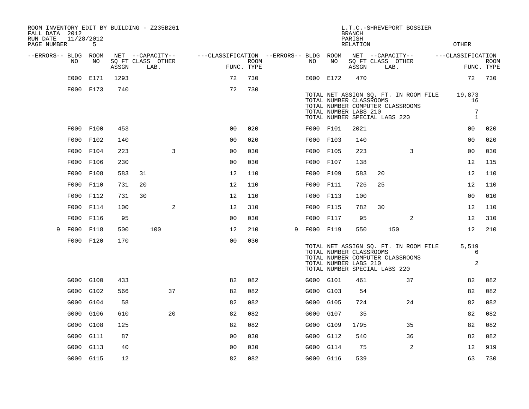| ROOM INVENTORY EDIT BY BUILDING - Z235B261<br>FALL DATA 2012<br>RUN DATE | 11/28/2012 |       |                           |                                        |                    |   |           |                                                  | <b>BRANCH</b><br>PARISH |                               | L.T.C.-SHREVEPORT BOSSIER                                                 |                                   |                           |
|--------------------------------------------------------------------------|------------|-------|---------------------------|----------------------------------------|--------------------|---|-----------|--------------------------------------------------|-------------------------|-------------------------------|---------------------------------------------------------------------------|-----------------------------------|---------------------------|
| PAGE NUMBER                                                              | 5          |       |                           |                                        |                    |   |           |                                                  | <b>RELATION</b>         |                               |                                                                           | <b>OTHER</b>                      |                           |
| --ERRORS-- BLDG ROOM                                                     |            |       | NET --CAPACITY--          | ---CLASSIFICATION --ERRORS-- BLDG ROOM |                    |   |           |                                                  |                         |                               | NET --CAPACITY--                                                          | ---CLASSIFICATION                 |                           |
| NO.                                                                      | NO         | ASSGN | SO FT CLASS OTHER<br>LAB. |                                        | ROOM<br>FUNC. TYPE |   | NO        | NO                                               | ASSGN                   | SQ FT CLASS OTHER<br>LAB.     |                                                                           |                                   | <b>ROOM</b><br>FUNC. TYPE |
| E000                                                                     | E171       | 1293  |                           | 72                                     | 730                |   | E000 E172 |                                                  | 470                     |                               |                                                                           | 72                                | 730                       |
|                                                                          | E000 E173  | 740   |                           | 72                                     | 730                |   |           | TOTAL NUMBER CLASSROOMS<br>TOTAL NUMBER LABS 210 |                         | TOTAL NUMBER SPECIAL LABS 220 | TOTAL NET ASSIGN SQ. FT. IN ROOM FILE<br>TOTAL NUMBER COMPUTER CLASSROOMS | 19,873<br>16<br>7<br>$\mathbf{1}$ |                           |
|                                                                          | F000 F100  | 453   |                           | 0 <sub>0</sub>                         | 020                |   | F000 F101 |                                                  | 2021                    |                               |                                                                           | 00                                | 020                       |
|                                                                          | F000 F102  | 140   |                           | 0 <sub>0</sub>                         | 020                |   | F000 F103 |                                                  | 140                     |                               |                                                                           | 00                                | 020                       |
|                                                                          | F000 F104  | 223   | 3                         | 0 <sub>0</sub>                         | 030                |   | F000 F105 |                                                  | 223                     |                               | 3                                                                         | 0 <sub>0</sub>                    | 030                       |
|                                                                          | F000 F106  | 230   |                           | 0 <sub>0</sub>                         | 030                |   | F000 F107 |                                                  | 138                     |                               |                                                                           | 12                                | 115                       |
|                                                                          | F000 F108  | 583   | 31                        | 12                                     | 110                |   | F000 F109 |                                                  | 583                     | 20                            |                                                                           | 12                                | 110                       |
|                                                                          | F000 F110  | 731   | 20                        | 12                                     | 110                |   | F000 F111 |                                                  | 726                     | 25                            |                                                                           | 12                                | 110                       |
|                                                                          | F000 F112  | 731   | 30                        | 12                                     | 110                |   | F000 F113 |                                                  | 100                     |                               |                                                                           | 00                                | 010                       |
|                                                                          | F000 F114  | 100   | 2                         | 12                                     | 310                |   | F000 F115 |                                                  | 782                     | 30                            |                                                                           | 12                                | 110                       |
| F000                                                                     | F116       | 95    |                           | 0 <sub>0</sub>                         | 030                |   | F000 F117 |                                                  | 95                      |                               | 2                                                                         | 12                                | 310                       |
| 9                                                                        | F000 F118  | 500   | 100                       | 12                                     | 210                | 9 | F000 F119 |                                                  | 550                     |                               | 150                                                                       | 12                                | 210                       |
|                                                                          | F000 F120  | 170   |                           | 0 <sub>0</sub>                         | 030                |   |           | TOTAL NUMBER CLASSROOMS<br>TOTAL NUMBER LABS 210 |                         | TOTAL NUMBER SPECIAL LABS 220 | TOTAL NET ASSIGN SQ. FT. IN ROOM FILE<br>TOTAL NUMBER COMPUTER CLASSROOMS | 5,519<br>6<br>$\mathbf{2}$        |                           |
|                                                                          | G000 G100  | 433   |                           | 82                                     | 082                |   | G000 G101 |                                                  | 461                     |                               | 37                                                                        | 82                                | 082                       |
| G000                                                                     | G102       | 566   | 37                        | 82                                     | 082                |   | G000 G103 |                                                  | 54                      |                               |                                                                           | 82                                | 082                       |
| G000                                                                     | G104       | 58    |                           | 82                                     | 082                |   | G000 G105 |                                                  | 724                     |                               | 24                                                                        | 82                                | 082                       |
| G000                                                                     | G106       | 610   | 20                        | 82                                     | 082                |   | G000      | G107                                             | 35                      |                               |                                                                           | 82                                | 082                       |
| G000                                                                     | G108       | 125   |                           | 82                                     | 082                |   | G000 G109 |                                                  | 1795                    |                               | 35                                                                        | 82                                | 082                       |
| G000                                                                     | G111       | 87    |                           | 0 <sub>0</sub>                         | 030                |   | G000      | G112                                             | 540                     |                               | 36                                                                        | 82                                | 082                       |
| G000                                                                     | G113       | 40    |                           | 0 <sub>0</sub>                         | 030                |   | G000 G114 |                                                  | 75                      |                               | 2                                                                         | 12                                | 919                       |
|                                                                          | G000 G115  | 12    |                           | 82                                     | 082                |   | G000 G116 |                                                  | 539                     |                               |                                                                           | 63                                | 730                       |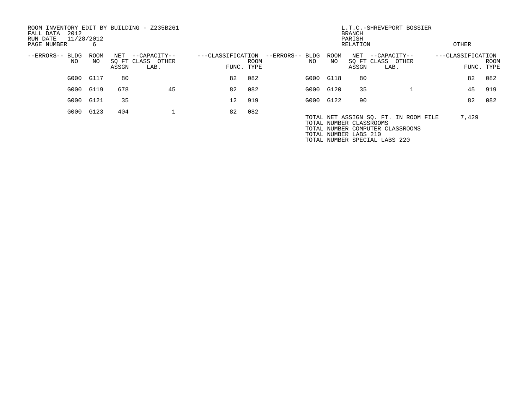| ROOM INVENTORY EDIT BY BUILDING - Z235B261<br>2012<br>FALL DATA<br>RUN DATE<br>PAGE NUMBER | 11/28/2012<br>6 |              |                                           |                                 | L.T.C.-SHREVEPORT BOSSIER<br><b>BRANCH</b><br>PARISH<br>RELATION |                        |                   |                                                  |                                                                           |                   |            | OTHER |  |
|--------------------------------------------------------------------------------------------|-----------------|--------------|-------------------------------------------|---------------------------------|------------------------------------------------------------------|------------------------|-------------------|--------------------------------------------------|---------------------------------------------------------------------------|-------------------|------------|-------|--|
| --ERRORS-- BLDG<br>NO                                                                      | ROOM<br>NO.     | NET<br>ASSGN | --CAPACITY--<br>SQ FT CLASS OTHER<br>LAB. | ---CLASSIFICATION<br>FUNC. TYPE | <b>ROOM</b>                                                      | --ERRORS-- BLDG<br>NO. | <b>ROOM</b><br>NO | NET<br>ASSGN                                     | --CAPACITY--<br>SO FT CLASS OTHER<br>LAB.                                 | ---CLASSIFICATION | FUNC. TYPE | ROOM  |  |
| G000                                                                                       | G117            | 80           |                                           | 82                              | 082                                                              |                        | G000 G118         | 80                                               |                                                                           |                   | 82         | 082   |  |
|                                                                                            | G000 G119       | 678          | 45                                        | 82                              | 082                                                              |                        | G000 G120         | 35                                               |                                                                           |                   | 45         | 919   |  |
| G000                                                                                       | G121            | 35           |                                           | 12                              | 919                                                              |                        | G000 G122         | 90                                               |                                                                           |                   | 82         | 082   |  |
| G000                                                                                       | G123            | 404          |                                           | 82                              | 082                                                              |                        |                   | TOTAL NUMBER CLASSROOMS<br>TOTAL NUMBER LABS 210 | TOTAL NET ASSIGN SQ. FT. IN ROOM FILE<br>TOTAL NUMBER COMPUTER CLASSROOMS |                   | 7,429      |       |  |

TOTAL NUMBER SPECIAL LABS 220